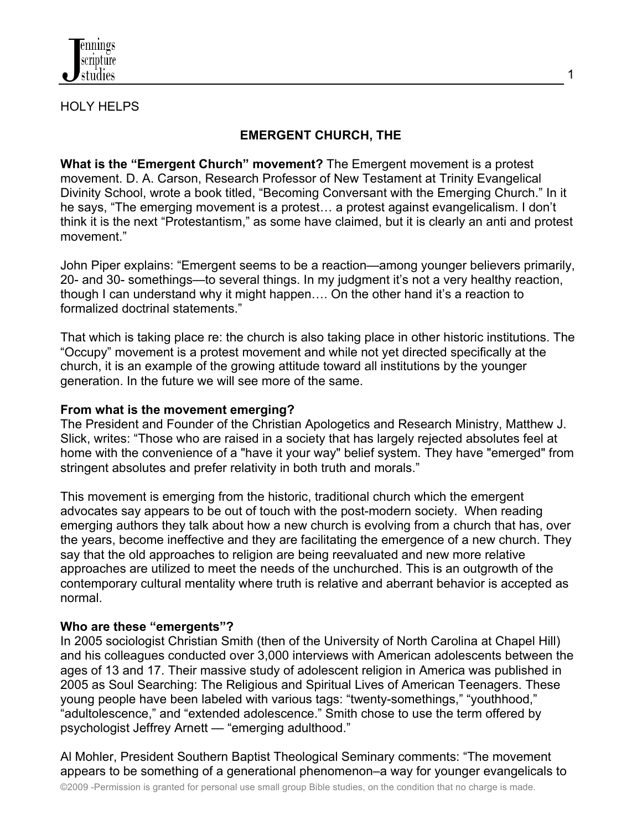

#### HOLY HELPS

## **EMERGENT CHURCH, THE**

**What is the "Emergent Church" movement?** The Emergent movement is a protest movement. D. A. Carson, Research Professor of New Testament at Trinity Evangelical Divinity School, wrote a book titled, "Becoming Conversant with the Emerging Church." In it he says, "The emerging movement is a protest… a protest against evangelicalism. I don't think it is the next "Protestantism," as some have claimed, but it is clearly an anti and protest movement."

John Piper explains: "Emergent seems to be a reaction—among younger believers primarily, 20- and 30- somethings—to several things. In my judgment it's not a very healthy reaction, though I can understand why it might happen…. On the other hand it's a reaction to formalized doctrinal statements."

That which is taking place re: the church is also taking place in other historic institutions. The "Occupy" movement is a protest movement and while not yet directed specifically at the church, it is an example of the growing attitude toward all institutions by the younger generation. In the future we will see more of the same.

#### **From what is the movement emerging?**

The President and Founder of the Christian Apologetics and Research Ministry, Matthew J. Slick, writes: "Those who are raised in a society that has largely rejected absolutes feel at home with the convenience of a "have it your way" belief system. They have "emerged" from stringent absolutes and prefer relativity in both truth and morals."

This movement is emerging from the historic, traditional church which the emergent advocates say appears to be out of touch with the post-modern society. When reading emerging authors they talk about how a new church is evolving from a church that has, over the years, become ineffective and they are facilitating the emergence of a new church. They say that the old approaches to religion are being reevaluated and new more relative approaches are utilized to meet the needs of the unchurched. This is an outgrowth of the contemporary cultural mentality where truth is relative and aberrant behavior is accepted as normal.

## **Who are these "emergents"?**

In 2005 sociologist Christian Smith (then of the University of North Carolina at Chapel Hill) and his colleagues conducted over 3,000 interviews with American adolescents between the ages of 13 and 17. Their massive study of adolescent religion in America was published in 2005 as Soul Searching: The Religious and Spiritual Lives of American Teenagers. These young people have been labeled with various tags: "twenty-somethings," "youthhood," "adultolescence," and "extended adolescence." Smith chose to use the term offered by psychologist Jeffrey Arnett — "emerging adulthood."

Al Mohler, President Southern Baptist Theological Seminary comments: "The movement appears to be something of a generational phenomenon–a way for younger evangelicals to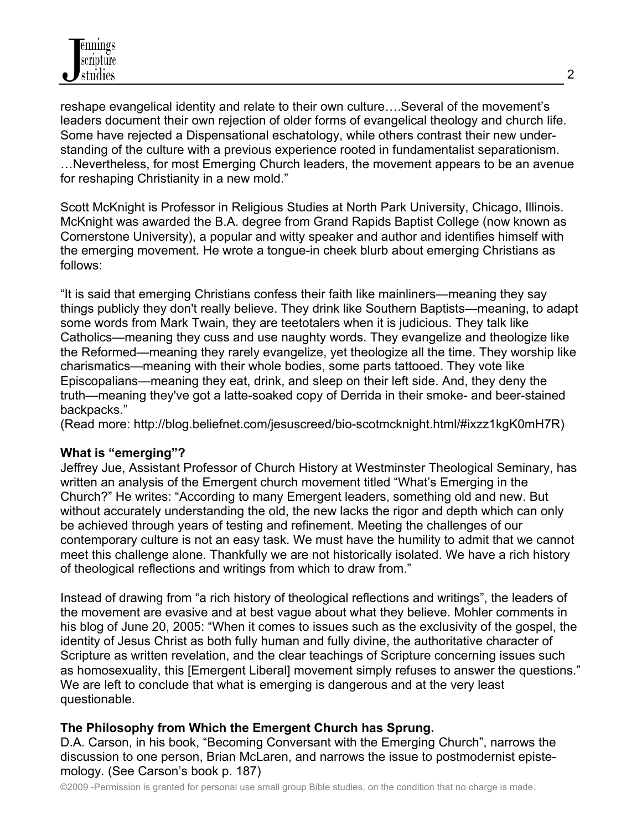reshape evangelical identity and relate to their own culture….Several of the movement's leaders document their own rejection of older forms of evangelical theology and church life. Some have rejected a Dispensational eschatology, while others contrast their new understanding of the culture with a previous experience rooted in fundamentalist separationism. …Nevertheless, for most Emerging Church leaders, the movement appears to be an avenue for reshaping Christianity in a new mold."

Scott McKnight is Professor in Religious Studies at North Park University, Chicago, Illinois. McKnight was awarded the B.A. degree from Grand Rapids Baptist College (now known as Cornerstone University), a popular and witty speaker and author and identifies himself with the emerging movement. He wrote a tongue-in cheek blurb about emerging Christians as follows:

"It is said that emerging Christians confess their faith like mainliners—meaning they say things publicly they don't really believe. They drink like Southern Baptists—meaning, to adapt some words from Mark Twain, they are teetotalers when it is judicious. They talk like Catholics—meaning they cuss and use naughty words. They evangelize and theologize like the Reformed—meaning they rarely evangelize, yet theologize all the time. They worship like charismatics—meaning with their whole bodies, some parts tattooed. They vote like Episcopalians—meaning they eat, drink, and sleep on their left side. And, they deny the truth—meaning they've got a latte-soaked copy of Derrida in their smoke- and beer-stained backpacks."

(Read more: http://blog.beliefnet.com/jesuscreed/bio-scotmcknight.html/#ixzz1kgK0mH7R)

## **What is "emerging"?**

Jeffrey Jue, Assistant Professor of Church History at Westminster Theological Seminary, has written an analysis of the Emergent church movement titled "What's Emerging in the Church?" He writes: "According to many Emergent leaders, something old and new. But without accurately understanding the old, the new lacks the rigor and depth which can only be achieved through years of testing and refinement. Meeting the challenges of our contemporary culture is not an easy task. We must have the humility to admit that we cannot meet this challenge alone. Thankfully we are not historically isolated. We have a rich history of theological reflections and writings from which to draw from."

Instead of drawing from "a rich history of theological reflections and writings", the leaders of the movement are evasive and at best vague about what they believe. Mohler comments in his blog of June 20, 2005: "When it comes to issues such as the exclusivity of the gospel, the identity of Jesus Christ as both fully human and fully divine, the authoritative character of Scripture as written revelation, and the clear teachings of Scripture concerning issues such as homosexuality, this [Emergent Liberal] movement simply refuses to answer the questions." We are left to conclude that what is emerging is dangerous and at the very least questionable.

## **The Philosophy from Which the Emergent Church has Sprung.**

D.A. Carson, in his book, "Becoming Conversant with the Emerging Church", narrows the discussion to one person, Brian McLaren, and narrows the issue to postmodernist epistemology. (See Carson's book p. 187)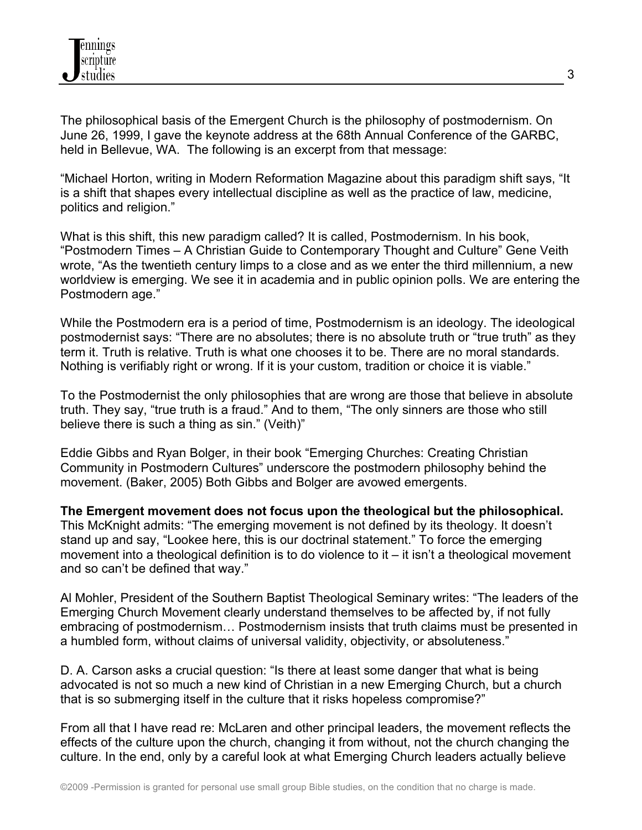The philosophical basis of the Emergent Church is the philosophy of postmodernism. On June 26, 1999, I gave the keynote address at the 68th Annual Conference of the GARBC, held in Bellevue, WA. The following is an excerpt from that message:

"Michael Horton, writing in Modern Reformation Magazine about this paradigm shift says, "It is a shift that shapes every intellectual discipline as well as the practice of law, medicine, politics and religion."

What is this shift, this new paradigm called? It is called, Postmodernism. In his book, "Postmodern Times – A Christian Guide to Contemporary Thought and Culture" Gene Veith wrote, "As the twentieth century limps to a close and as we enter the third millennium, a new worldview is emerging. We see it in academia and in public opinion polls. We are entering the Postmodern age."

While the Postmodern era is a period of time, Postmodernism is an ideology. The ideological postmodernist says: "There are no absolutes; there is no absolute truth or "true truth" as they term it. Truth is relative. Truth is what one chooses it to be. There are no moral standards. Nothing is verifiably right or wrong. If it is your custom, tradition or choice it is viable."

To the Postmodernist the only philosophies that are wrong are those that believe in absolute truth. They say, "true truth is a fraud." And to them, "The only sinners are those who still believe there is such a thing as sin." (Veith)"

Eddie Gibbs and Ryan Bolger, in their book "Emerging Churches: Creating Christian Community in Postmodern Cultures" underscore the postmodern philosophy behind the movement. (Baker, 2005) Both Gibbs and Bolger are avowed emergents.

**The Emergent movement does not focus upon the theological but the philosophical.** This McKnight admits: "The emerging movement is not defined by its theology. It doesn't stand up and say, "Lookee here, this is our doctrinal statement." To force the emerging movement into a theological definition is to do violence to it – it isn't a theological movement and so can't be defined that way."

Al Mohler, President of the Southern Baptist Theological Seminary writes: "The leaders of the Emerging Church Movement clearly understand themselves to be affected by, if not fully embracing of postmodernism… Postmodernism insists that truth claims must be presented in a humbled form, without claims of universal validity, objectivity, or absoluteness."

D. A. Carson asks a crucial question: "Is there at least some danger that what is being advocated is not so much a new kind of Christian in a new Emerging Church, but a church that is so submerging itself in the culture that it risks hopeless compromise?"

From all that I have read re: McLaren and other principal leaders, the movement reflects the effects of the culture upon the church, changing it from without, not the church changing the culture. In the end, only by a careful look at what Emerging Church leaders actually believe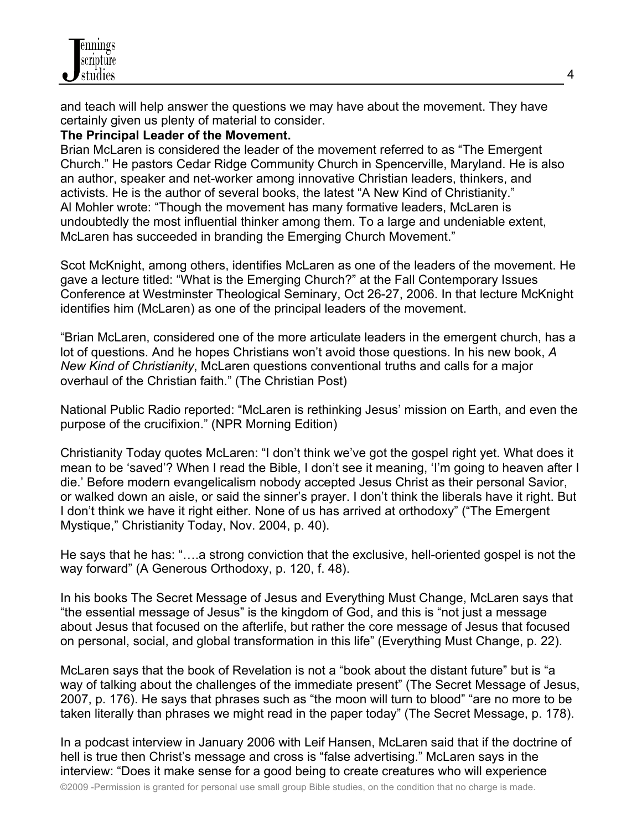and teach will help answer the questions we may have about the movement. They have certainly given us plenty of material to consider.

## **The Principal Leader of the Movement.**

Brian McLaren is considered the leader of the movement referred to as "The Emergent Church." He pastors Cedar Ridge Community Church in Spencerville, Maryland. He is also an author, speaker and net-worker among innovative Christian leaders, thinkers, and activists. He is the author of several books, the latest "A New Kind of Christianity." Al Mohler wrote: "Though the movement has many formative leaders, McLaren is undoubtedly the most influential thinker among them. To a large and undeniable extent, McLaren has succeeded in branding the Emerging Church Movement."

Scot McKnight, among others, identifies McLaren as one of the leaders of the movement. He gave a lecture titled: "What is the Emerging Church?" at the Fall Contemporary Issues Conference at Westminster Theological Seminary, Oct 26-27, 2006. In that lecture McKnight identifies him (McLaren) as one of the principal leaders of the movement.

"Brian McLaren, considered one of the more articulate leaders in the emergent church, has a lot of questions. And he hopes Christians won't avoid those questions. In his new book, *A New Kind of Christianity*, McLaren questions conventional truths and calls for a major overhaul of the Christian faith." (The Christian Post)

National Public Radio reported: "McLaren is rethinking Jesus' mission on Earth, and even the purpose of the crucifixion." (NPR Morning Edition)

Christianity Today quotes McLaren: "I don't think we've got the gospel right yet. What does it mean to be 'saved'? When I read the Bible, I don't see it meaning, 'I'm going to heaven after I die.' Before modern evangelicalism nobody accepted Jesus Christ as their personal Savior, or walked down an aisle, or said the sinner's prayer. I don't think the liberals have it right. But I don't think we have it right either. None of us has arrived at orthodoxy" ("The Emergent Mystique," Christianity Today, Nov. 2004, p. 40).

He says that he has: "….a strong conviction that the exclusive, hell-oriented gospel is not the way forward" (A Generous Orthodoxy, p. 120, f. 48).

In his books The Secret Message of Jesus and Everything Must Change, McLaren says that "the essential message of Jesus" is the kingdom of God, and this is "not just a message about Jesus that focused on the afterlife, but rather the core message of Jesus that focused on personal, social, and global transformation in this life" (Everything Must Change, p. 22).

McLaren says that the book of Revelation is not a "book about the distant future" but is "a way of talking about the challenges of the immediate present" (The Secret Message of Jesus, 2007, p. 176). He says that phrases such as "the moon will turn to blood" "are no more to be taken literally than phrases we might read in the paper today" (The Secret Message, p. 178).

In a podcast interview in January 2006 with Leif Hansen, McLaren said that if the doctrine of hell is true then Christ's message and cross is "false advertising." McLaren says in the interview: "Does it make sense for a good being to create creatures who will experience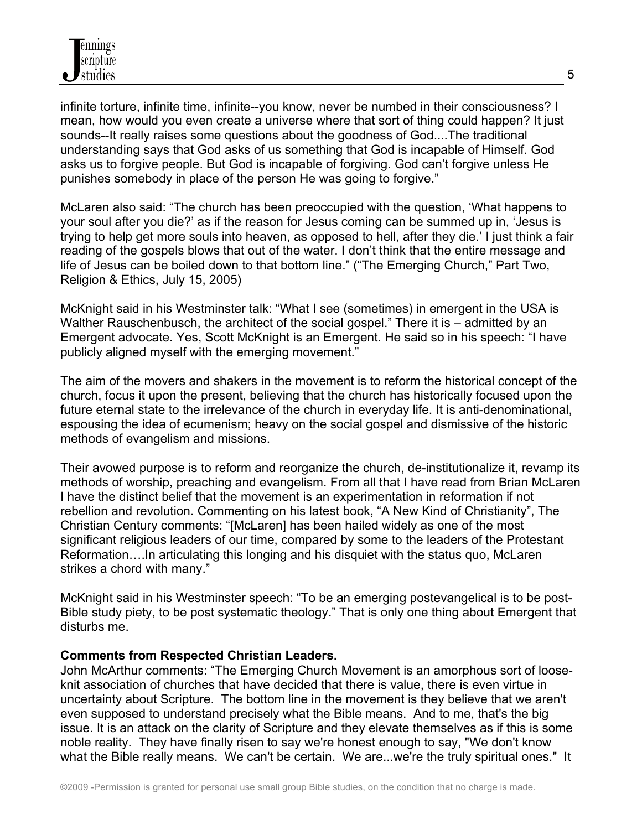infinite torture, infinite time, infinite--you know, never be numbed in their consciousness? I mean, how would you even create a universe where that sort of thing could happen? It just sounds--It really raises some questions about the goodness of God....The traditional understanding says that God asks of us something that God is incapable of Himself. God asks us to forgive people. But God is incapable of forgiving. God can't forgive unless He punishes somebody in place of the person He was going to forgive."

McLaren also said: "The church has been preoccupied with the question, 'What happens to your soul after you die?' as if the reason for Jesus coming can be summed up in, 'Jesus is trying to help get more souls into heaven, as opposed to hell, after they die.' I just think a fair reading of the gospels blows that out of the water. I don't think that the entire message and life of Jesus can be boiled down to that bottom line." ("The Emerging Church," Part Two, Religion & Ethics, July 15, 2005)

McKnight said in his Westminster talk: "What I see (sometimes) in emergent in the USA is Walther Rauschenbusch, the architect of the social gospel." There it is – admitted by an Emergent advocate. Yes, Scott McKnight is an Emergent. He said so in his speech: "I have publicly aligned myself with the emerging movement."

The aim of the movers and shakers in the movement is to reform the historical concept of the church, focus it upon the present, believing that the church has historically focused upon the future eternal state to the irrelevance of the church in everyday life. It is anti-denominational, espousing the idea of ecumenism; heavy on the social gospel and dismissive of the historic methods of evangelism and missions.

Their avowed purpose is to reform and reorganize the church, de-institutionalize it, revamp its methods of worship, preaching and evangelism. From all that I have read from Brian McLaren I have the distinct belief that the movement is an experimentation in reformation if not rebellion and revolution. Commenting on his latest book, "A New Kind of Christianity", The Christian Century comments: "[McLaren] has been hailed widely as one of the most significant religious leaders of our time, compared by some to the leaders of the Protestant Reformation….In articulating this longing and his disquiet with the status quo, McLaren strikes a chord with many."

McKnight said in his Westminster speech: "To be an emerging postevangelical is to be post-Bible study piety, to be post systematic theology." That is only one thing about Emergent that disturbs me.

## **Comments from Respected Christian Leaders.**

John McArthur comments: "The Emerging Church Movement is an amorphous sort of looseknit association of churches that have decided that there is value, there is even virtue in uncertainty about Scripture. The bottom line in the movement is they believe that we aren't even supposed to understand precisely what the Bible means. And to me, that's the big issue. It is an attack on the clarity of Scripture and they elevate themselves as if this is some noble reality. They have finally risen to say we're honest enough to say, "We don't know what the Bible really means. We can't be certain. We are...we're the truly spiritual ones." It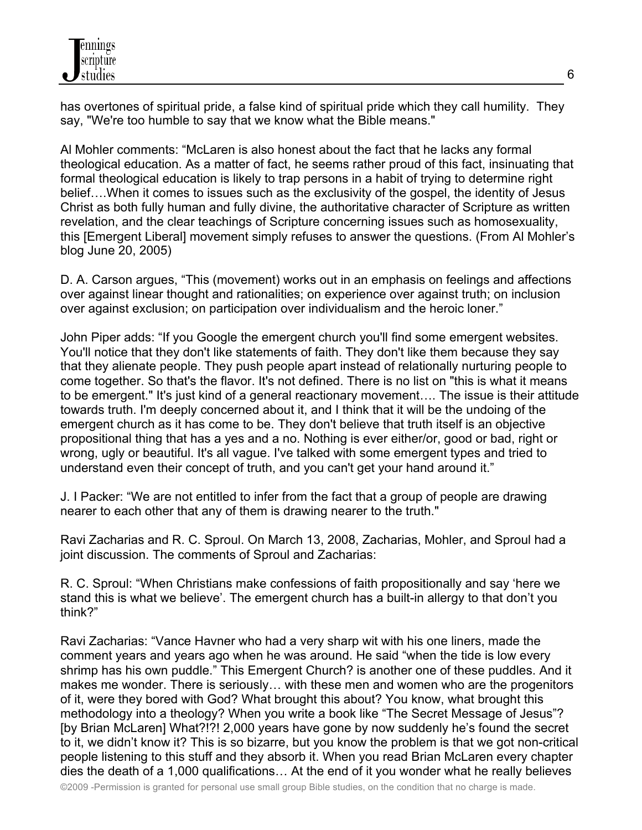has overtones of spiritual pride, a false kind of spiritual pride which they call humility. They say, "We're too humble to say that we know what the Bible means."

Al Mohler comments: "McLaren is also honest about the fact that he lacks any formal theological education. As a matter of fact, he seems rather proud of this fact, insinuating that formal theological education is likely to trap persons in a habit of trying to determine right belief….When it comes to issues such as the exclusivity of the gospel, the identity of Jesus Christ as both fully human and fully divine, the authoritative character of Scripture as written revelation, and the clear teachings of Scripture concerning issues such as homosexuality, this [Emergent Liberal] movement simply refuses to answer the questions. (From Al Mohler's blog June 20, 2005)

D. A. Carson argues, "This (movement) works out in an emphasis on feelings and affections over against linear thought and rationalities; on experience over against truth; on inclusion over against exclusion; on participation over individualism and the heroic loner."

John Piper adds: "If you Google the emergent church you'll find some emergent websites. You'll notice that they don't like statements of faith. They don't like them because they say that they alienate people. They push people apart instead of relationally nurturing people to come together. So that's the flavor. It's not defined. There is no list on "this is what it means to be emergent." It's just kind of a general reactionary movement…. The issue is their attitude towards truth. I'm deeply concerned about it, and I think that it will be the undoing of the emergent church as it has come to be. They don't believe that truth itself is an objective propositional thing that has a yes and a no. Nothing is ever either/or, good or bad, right or wrong, ugly or beautiful. It's all vague. I've talked with some emergent types and tried to understand even their concept of truth, and you can't get your hand around it."

J. I Packer: "We are not entitled to infer from the fact that a group of people are drawing nearer to each other that any of them is drawing nearer to the truth."

Ravi Zacharias and R. C. Sproul. On March 13, 2008, Zacharias, Mohler, and Sproul had a joint discussion. The comments of Sproul and Zacharias:

R. C. Sproul: "When Christians make confessions of faith propositionally and say 'here we stand this is what we believe'. The emergent church has a built-in allergy to that don't you think?"

Ravi Zacharias: "Vance Havner who had a very sharp wit with his one liners, made the comment years and years ago when he was around. He said "when the tide is low every shrimp has his own puddle." This Emergent Church? is another one of these puddles. And it makes me wonder. There is seriously… with these men and women who are the progenitors of it, were they bored with God? What brought this about? You know, what brought this methodology into a theology? When you write a book like "The Secret Message of Jesus"? [by Brian McLaren] What?!?! 2,000 years have gone by now suddenly he's found the secret to it, we didn't know it? This is so bizarre, but you know the problem is that we got non-critical people listening to this stuff and they absorb it. When you read Brian McLaren every chapter dies the death of a 1,000 qualifications… At the end of it you wonder what he really believes